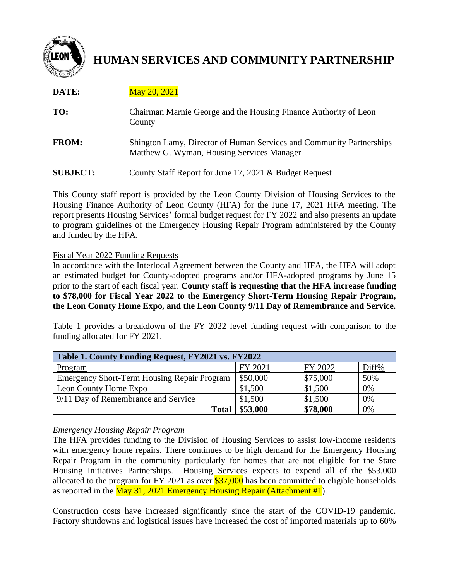

# **HUMAN SERVICES AND COMMUNITY PARTNERSHIP**

| DATE:           | <b>May 20, 2021</b>                                                                                                |
|-----------------|--------------------------------------------------------------------------------------------------------------------|
| TO:             | Chairman Marnie George and the Housing Finance Authority of Leon<br>County                                         |
| <b>FROM:</b>    | Shington Lamy, Director of Human Services and Community Partnerships<br>Matthew G. Wyman, Housing Services Manager |
| <b>SUBJECT:</b> | County Staff Report for June 17, 2021 & Budget Request                                                             |

This County staff report is provided by the Leon County Division of Housing Services to the Housing Finance Authority of Leon County (HFA) for the June 17, 2021 HFA meeting. The report presents Housing Services' formal budget request for FY 2022 and also presents an update to program guidelines of the Emergency Housing Repair Program administered by the County and funded by the HFA.

#### Fiscal Year 2022 Funding Requests

In accordance with the Interlocal Agreement between the County and HFA, the HFA will adopt an estimated budget for County-adopted programs and/or HFA-adopted programs by June 15 prior to the start of each fiscal year. **County staff is requesting that the HFA increase funding to \$78,000 for Fiscal Year 2022 to the Emergency Short-Term Housing Repair Program, the Leon County Home Expo, and the Leon County 9/11 Day of Remembrance and Service.**

Table 1 provides a breakdown of the FY 2022 level funding request with comparison to the funding allocated for FY 2021.

| Table 1. County Funding Request, FY2021 vs. FY2022 |          |          |       |  |
|----------------------------------------------------|----------|----------|-------|--|
| Program                                            | FY 2021  | FY 2022  | Diff% |  |
| <b>Emergency Short-Term Housing Repair Program</b> | \$50,000 | \$75,000 | 50%   |  |
| Leon County Home Expo                              | \$1,500  | \$1,500  | 0%    |  |
| 9/11 Day of Remembrance and Service                | \$1,500  | \$1,500  | 0%    |  |
| <b>Total</b>                                       | \$53,000 | \$78,000 | 0%    |  |

# *Emergency Housing Repair Program*

The HFA provides funding to the Division of Housing Services to assist low-income residents with emergency home repairs. There continues to be high demand for the Emergency Housing Repair Program in the community particularly for homes that are not eligible for the State Housing Initiatives Partnerships. Housing Services expects to expend all of the \$53,000 allocated to the program for FY 2021 as over \$37,000 has been committed to eligible households as reported in the May 31, 2021 Emergency Housing Repair (Attachment #1).

Construction costs have increased significantly since the start of the COVID-19 pandemic. Factory shutdowns and logistical issues have increased the cost of imported materials up to 60%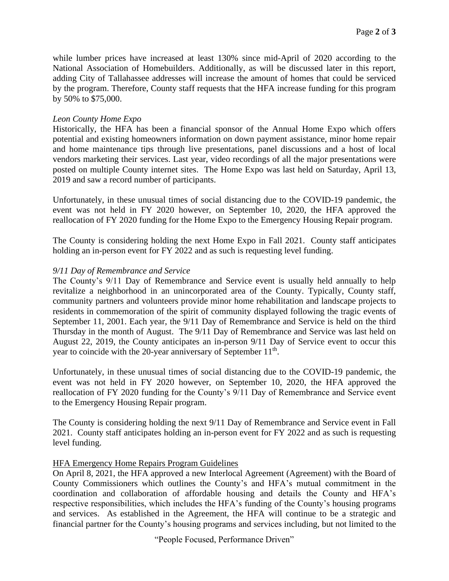while lumber prices have increased at least 130% since mid-April of 2020 according to the National Association of Homebuilders. Additionally, as will be discussed later in this report, adding City of Tallahassee addresses will increase the amount of homes that could be serviced by the program. Therefore, County staff requests that the HFA increase funding for this program by 50% to \$75,000.

### *Leon County Home Expo*

Historically, the HFA has been a financial sponsor of the Annual Home Expo which offers potential and existing homeowners information on down payment assistance, minor home repair and home maintenance tips through live presentations, panel discussions and a host of local vendors marketing their services. Last year, video recordings of all the major presentations were posted on multiple County internet sites. The Home Expo was last held on Saturday, April 13, 2019 and saw a record number of participants.

Unfortunately, in these unusual times of social distancing due to the COVID-19 pandemic, the event was not held in FY 2020 however, on September 10, 2020, the HFA approved the reallocation of FY 2020 funding for the Home Expo to the Emergency Housing Repair program.

The County is considering holding the next Home Expo in Fall 2021. County staff anticipates holding an in-person event for FY 2022 and as such is requesting level funding.

#### *9/11 Day of Remembrance and Service*

The County's 9/11 Day of Remembrance and Service event is usually held annually to help revitalize a neighborhood in an unincorporated area of the County. Typically, County staff, community partners and volunteers provide minor home rehabilitation and landscape projects to residents in commemoration of the spirit of community displayed following the tragic events of September 11, 2001. Each year, the 9/11 Day of Remembrance and Service is held on the third Thursday in the month of August. The 9/11 Day of Remembrance and Service was last held on August 22, 2019, the County anticipates an in-person 9/11 Day of Service event to occur this year to coincide with the 20-year anniversary of September 11<sup>th</sup>.

Unfortunately, in these unusual times of social distancing due to the COVID-19 pandemic, the event was not held in FY 2020 however, on September 10, 2020, the HFA approved the reallocation of FY 2020 funding for the County's 9/11 Day of Remembrance and Service event to the Emergency Housing Repair program.

The County is considering holding the next 9/11 Day of Remembrance and Service event in Fall 2021. County staff anticipates holding an in-person event for FY 2022 and as such is requesting level funding.

#### HFA Emergency Home Repairs Program Guidelines

On April 8, 2021, the HFA approved a new Interlocal Agreement (Agreement) with the Board of County Commissioners which outlines the County's and HFA's mutual commitment in the coordination and collaboration of affordable housing and details the County and HFA's respective responsibilities, which includes the HFA's funding of the County's housing programs and services. As established in the Agreement, the HFA will continue to be a strategic and financial partner for the County's housing programs and services including, but not limited to the

"People Focused, Performance Driven"